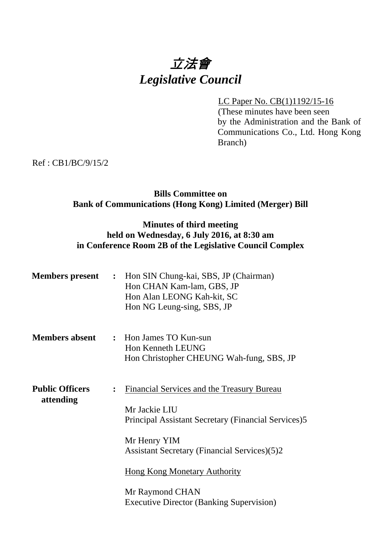# 立法會 *Legislative Council*

LC Paper No. CB(1)1192/15-16 (These minutes have been seen by the Administration and the Bank of Communications Co., Ltd. Hong Kong Branch)

Ref : CB1/BC/9/15/2

# **Bills Committee on Bank of Communications (Hong Kong) Limited (Merger) Bill**

# **Minutes of third meeting held on Wednesday, 6 July 2016, at 8:30 am in Conference Room 2B of the Legislative Council Complex**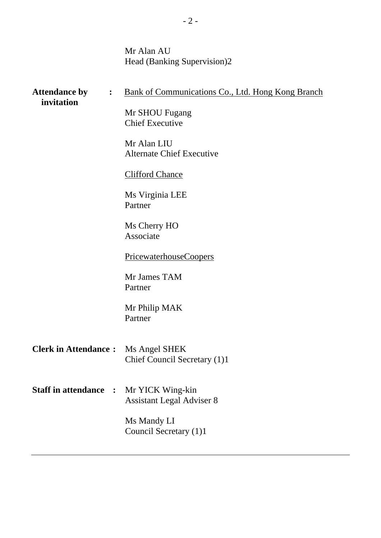Mr Alan AU Head (Banking Supervision)2

| <b>Attendance by</b><br>$\ddot{\cdot}$<br>invitation |                | <b>Bank of Communications Co., Ltd. Hong Kong Branch</b> |
|------------------------------------------------------|----------------|----------------------------------------------------------|
|                                                      |                | Mr SHOU Fugang<br><b>Chief Executive</b>                 |
|                                                      |                | Mr Alan LIU<br><b>Alternate Chief Executive</b>          |
|                                                      |                | <b>Clifford Chance</b>                                   |
|                                                      |                | Ms Virginia LEE<br>Partner                               |
|                                                      |                | Ms Cherry HO<br>Associate                                |
|                                                      |                | PricewaterhouseCoopers                                   |
|                                                      |                | Mr James TAM<br>Partner                                  |
|                                                      |                | Mr Philip MAK<br>Partner                                 |
| <b>Clerk in Attendance:</b>                          |                | Ms Angel SHEK<br>Chief Council Secretary (1)1            |
| <b>Staff in attendance</b>                           | $\ddot{\cdot}$ | Mr YICK Wing-kin<br><b>Assistant Legal Adviser 8</b>     |
|                                                      |                | Ms Mandy LI<br>Council Secretary (1)1                    |
|                                                      |                |                                                          |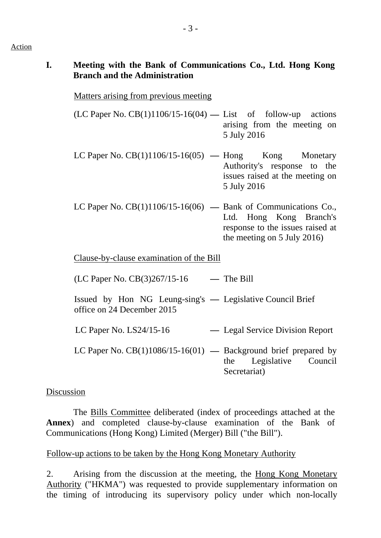### Action

# **I. Meeting with the Bank of Communications Co., Ltd. Hong Kong Branch and the Administration**

# Matters arising from previous meeting

- (LC Paper No. CB(1)1106/15-16(04) **—** List of follow-up actions arising from the meeting on 5 July 2016
- LC Paper No. CB(1)1106/15-16(05) **—** Hong Kong Monetary Authority's response to the issues raised at the meeting on 5 July 2016
- LC Paper No. CB(1)1106/15-16(06) **—** Bank of Communications Co., Ltd. Hong Kong Branch's response to the issues raised at the meeting on 5 July 2016)

Clause-by-clause examination of the Bill

(LC Paper No. CB(3)267/15-16 **—** The Bill

- Issued by Hon NG Leung-sing's **—** Legislative Council Brief office on 24 December 2015
- LC Paper No. LS24/15-16 **—** Legal Service Division Report
- LC Paper No. CB(1)1086/15-16(01) **—** Background brief prepared by the Legislative Council Secretariat)

# Discussion

 The Bills Committee deliberated (index of proceedings attached at the **Annex**) and completed clause-by-clause examination of the Bank of Communications (Hong Kong) Limited (Merger) Bill ("the Bill").

# Follow-up actions to be taken by the Hong Kong Monetary Authority

2. Arising from the discussion at the meeting, the Hong Kong Monetary Authority ("HKMA") was requested to provide supplementary information on the timing of introducing its supervisory policy under which non-locally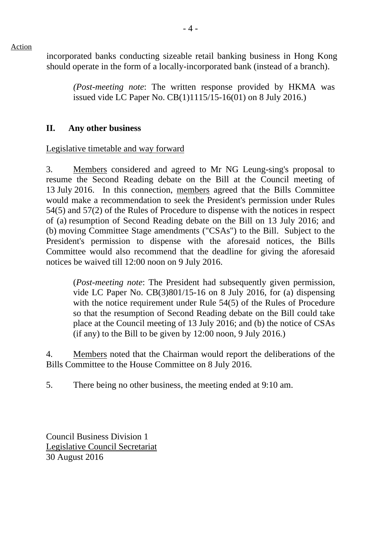Action

incorporated banks conducting sizeable retail banking business in Hong Kong should operate in the form of a locally-incorporated bank (instead of a branch).

*(Post-meeting note*: The written response provided by HKMA was issued vide LC Paper No. CB(1)1115/15-16(01) on 8 July 2016.)

### **II. Any other business**

### Legislative timetable and way forward

3. Members considered and agreed to Mr NG Leung-sing's proposal to resume the Second Reading debate on the Bill at the Council meeting of 13 July 2016. In this connection, members agreed that the Bills Committee would make a recommendation to seek the President's permission under Rules 54(5) and 57(2) of the Rules of Procedure to dispense with the notices in respect of (a) resumption of Second Reading debate on the Bill on 13 July 2016; and (b) moving Committee Stage amendments ("CSAs") to the Bill. Subject to the President's permission to dispense with the aforesaid notices, the Bills Committee would also recommend that the deadline for giving the aforesaid notices be waived till 12:00 noon on 9 July 2016.

(*Post-meeting note*: The President had subsequently given permission, vide LC Paper No. CB(3)801/15-16 on 8 July 2016, for (a) dispensing with the notice requirement under Rule 54(5) of the Rules of Procedure so that the resumption of Second Reading debate on the Bill could take place at the Council meeting of 13 July 2016; and (b) the notice of CSAs (if any) to the Bill to be given by 12:00 noon, 9 July 2016.)

4. Members noted that the Chairman would report the deliberations of the Bills Committee to the House Committee on 8 July 2016.

5. There being no other business, the meeting ended at 9:10 am.

Council Business Division 1 Legislative Council Secretariat 30 August 2016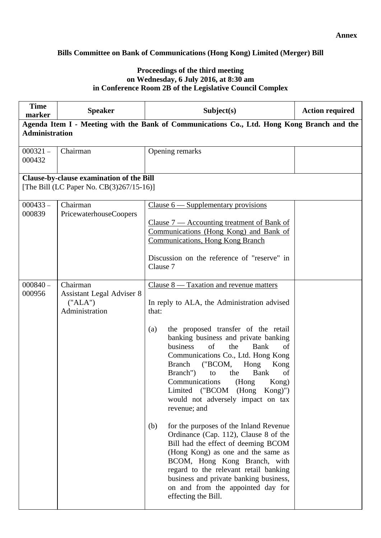### **Annex**

### **Bills Committee on Bank of Communications (Hong Kong) Limited (Merger) Bill**

#### **Proceedings of the third meeting on Wednesday, 6 July 2016, at 8:30 am in Conference Room 2B of the Legislative Council Complex**

| <b>Time</b><br>marker                                                                      | <b>Speaker</b>                                                            | Subject(s)                                                                                                                                                                                                                                                                                                                                                                                                                                                                                                                                                                                                                                                                                                                                                                                                                                    | <b>Action required</b> |  |
|--------------------------------------------------------------------------------------------|---------------------------------------------------------------------------|-----------------------------------------------------------------------------------------------------------------------------------------------------------------------------------------------------------------------------------------------------------------------------------------------------------------------------------------------------------------------------------------------------------------------------------------------------------------------------------------------------------------------------------------------------------------------------------------------------------------------------------------------------------------------------------------------------------------------------------------------------------------------------------------------------------------------------------------------|------------------------|--|
| Agenda Item I - Meeting with the Bank of Communications Co., Ltd. Hong Kong Branch and the |                                                                           |                                                                                                                                                                                                                                                                                                                                                                                                                                                                                                                                                                                                                                                                                                                                                                                                                                               |                        |  |
| <b>Administration</b>                                                                      |                                                                           |                                                                                                                                                                                                                                                                                                                                                                                                                                                                                                                                                                                                                                                                                                                                                                                                                                               |                        |  |
| $000321 -$<br>000432                                                                       | Chairman                                                                  | Opening remarks                                                                                                                                                                                                                                                                                                                                                                                                                                                                                                                                                                                                                                                                                                                                                                                                                               |                        |  |
|                                                                                            | <b>Clause-by-clause examination of the Bill</b>                           |                                                                                                                                                                                                                                                                                                                                                                                                                                                                                                                                                                                                                                                                                                                                                                                                                                               |                        |  |
|                                                                                            | [The Bill (LC Paper No. CB(3)267/15-16)]                                  |                                                                                                                                                                                                                                                                                                                                                                                                                                                                                                                                                                                                                                                                                                                                                                                                                                               |                        |  |
| $000433 -$<br>000839                                                                       | Chairman<br>PricewaterhouseCoopers                                        | Clause $6$ — Supplementary provisions<br>Clause $7$ — Accounting treatment of Bank of<br>Communications (Hong Kong) and Bank of<br><b>Communications, Hong Kong Branch</b><br>Discussion on the reference of "reserve" in<br>Clause 7                                                                                                                                                                                                                                                                                                                                                                                                                                                                                                                                                                                                         |                        |  |
| $000840 -$<br>000956                                                                       | Chairman<br><b>Assistant Legal Adviser 8</b><br>("ALA")<br>Administration | Clause $8 -$ Taxation and revenue matters<br>In reply to ALA, the Administration advised<br>that:<br>the proposed transfer of the retail<br>(a)<br>banking business and private banking<br>the<br>of<br>Bank<br>business<br>of<br>Communications Co., Ltd. Hong Kong<br><b>Branch</b><br>("BCOM,<br>Hong<br>Kong<br>Branch")<br><b>Bank</b><br>of<br>to<br>the<br>Communications<br>(Hong<br>Kong)<br>Limited ("BCOM (Hong Kong)")<br>would not adversely impact on tax<br>revenue; and<br>for the purposes of the Inland Revenue<br>(b)<br>Ordinance (Cap. 112), Clause 8 of the<br>Bill had the effect of deeming BCOM<br>(Hong Kong) as one and the same as<br>BCOM, Hong Kong Branch, with<br>regard to the relevant retail banking<br>business and private banking business,<br>on and from the appointed day for<br>effecting the Bill. |                        |  |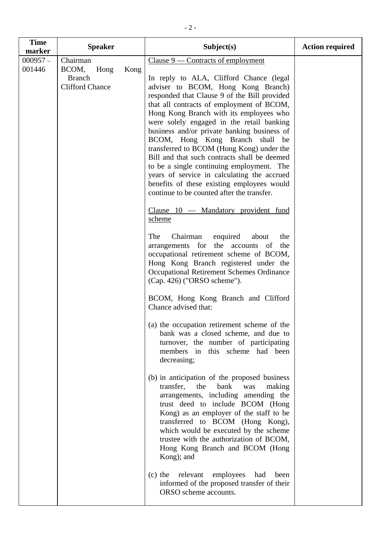| <b>Time</b>                    | <b>Speaker</b>                                                       |      | Subject(s)                                                                                                                                                                                                                                                                                                                                                                                                                                                                                                                                                                                                                                                                                                                                                                                                                                                                                                                                                                                                                                                                                                                                                                                                                                                                                                                                                                                                                                                                                                                                                                                                                                                                                                                                                              | <b>Action required</b> |
|--------------------------------|----------------------------------------------------------------------|------|-------------------------------------------------------------------------------------------------------------------------------------------------------------------------------------------------------------------------------------------------------------------------------------------------------------------------------------------------------------------------------------------------------------------------------------------------------------------------------------------------------------------------------------------------------------------------------------------------------------------------------------------------------------------------------------------------------------------------------------------------------------------------------------------------------------------------------------------------------------------------------------------------------------------------------------------------------------------------------------------------------------------------------------------------------------------------------------------------------------------------------------------------------------------------------------------------------------------------------------------------------------------------------------------------------------------------------------------------------------------------------------------------------------------------------------------------------------------------------------------------------------------------------------------------------------------------------------------------------------------------------------------------------------------------------------------------------------------------------------------------------------------------|------------------------|
| marker<br>$000957 -$<br>001446 | Chairman<br>BCOM,<br>Hong<br><b>Branch</b><br><b>Clifford Chance</b> | Kong | $Clause 9$ — Contracts of employment<br>In reply to ALA, Clifford Chance (legal<br>adviser to BCOM, Hong Kong Branch)<br>responded that Clause 9 of the Bill provided<br>that all contracts of employment of BCOM,<br>Hong Kong Branch with its employees who<br>were solely engaged in the retail banking<br>business and/or private banking business of<br>BCOM, Hong Kong Branch shall be<br>transferred to BCOM (Hong Kong) under the<br>Bill and that such contracts shall be deemed<br>to be a single continuing employment. The<br>years of service in calculating the accrued<br>benefits of these existing employees would<br>continue to be counted after the transfer.<br>Clause 10 - Mandatory provident fund<br>scheme<br>The<br>Chairman<br>enquired<br>about<br>the<br>arrangements for the accounts of<br>the<br>occupational retirement scheme of BCOM,<br>Hong Kong Branch registered under the<br>Occupational Retirement Schemes Ordinance<br>(Cap. 426) ("ORSO scheme").<br>BCOM, Hong Kong Branch and Clifford<br>Chance advised that:<br>(a) the occupation retirement scheme of the<br>bank was a closed scheme, and due to<br>turnover, the number of participating<br>members in this scheme had been<br>decreasing;<br>(b) in anticipation of the proposed business<br>transfer,<br>bank<br>the<br>making<br>was<br>arrangements, including amending the<br>trust deed to include BCOM (Hong<br>Kong) as an employer of the staff to be<br>transferred to BCOM (Hong Kong),<br>which would be executed by the scheme<br>trustee with the authorization of BCOM,<br>Hong Kong Branch and BCOM (Hong<br>Kong); and<br>$(c)$ the<br>relevant<br>employees<br>had<br>been<br>informed of the proposed transfer of their<br>ORSO scheme accounts. |                        |
|                                |                                                                      |      |                                                                                                                                                                                                                                                                                                                                                                                                                                                                                                                                                                                                                                                                                                                                                                                                                                                                                                                                                                                                                                                                                                                                                                                                                                                                                                                                                                                                                                                                                                                                                                                                                                                                                                                                                                         |                        |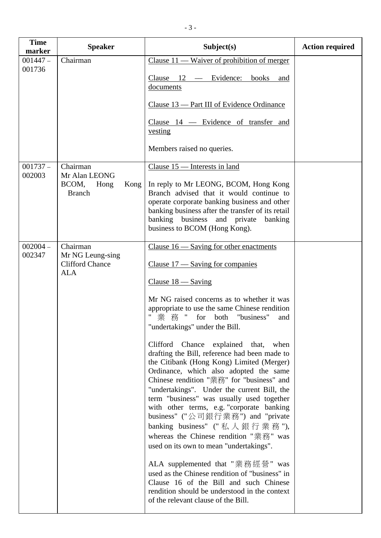| <b>Time</b><br>marker | <b>Speaker</b>                                                       | Subject(s)                                                                                                                                                                                                                                                                                                                                                                                                                                                                                                                                                                                                                                                                                                                                                                                                                                                                                                                                                                                                                              | <b>Action required</b> |
|-----------------------|----------------------------------------------------------------------|-----------------------------------------------------------------------------------------------------------------------------------------------------------------------------------------------------------------------------------------------------------------------------------------------------------------------------------------------------------------------------------------------------------------------------------------------------------------------------------------------------------------------------------------------------------------------------------------------------------------------------------------------------------------------------------------------------------------------------------------------------------------------------------------------------------------------------------------------------------------------------------------------------------------------------------------------------------------------------------------------------------------------------------------|------------------------|
| $001447 -$<br>001736  | Chairman                                                             | Clause $11$ — Waiver of prohibition of merger<br>Clause $12$ — Evidence:<br>books<br>and<br>documents<br>Clause 13 — Part III of Evidence Ordinance                                                                                                                                                                                                                                                                                                                                                                                                                                                                                                                                                                                                                                                                                                                                                                                                                                                                                     |                        |
|                       |                                                                      | Clause 14 - Evidence of transfer and<br>vesting<br>Members raised no queries.                                                                                                                                                                                                                                                                                                                                                                                                                                                                                                                                                                                                                                                                                                                                                                                                                                                                                                                                                           |                        |
| $001737 -$<br>002003  | Chairman<br>Mr Alan LEONG<br>BCOM,<br>Hong<br>Kong<br><b>Branch</b>  | Clause 15 - Interests in land<br>In reply to Mr LEONG, BCOM, Hong Kong<br>Branch advised that it would continue to<br>operate corporate banking business and other<br>banking business after the transfer of its retail<br>banking business and private<br>banking<br>business to BCOM (Hong Kong).                                                                                                                                                                                                                                                                                                                                                                                                                                                                                                                                                                                                                                                                                                                                     |                        |
| $002004 -$<br>002347  | Chairman<br>Mr NG Leung-sing<br><b>Clifford Chance</b><br><b>ALA</b> | Clause $16$ — Saving for other enactments<br>Clause $17$ — Saving for companies<br>Clause $18 -$ Saving<br>Mr NG raised concerns as to whether it was<br>appropriate to use the same Chinese rendition<br>業務 " for both "business"<br>and<br>"undertakings" under the Bill.<br>Clifford Chance explained that,<br>when<br>drafting the Bill, reference had been made to<br>the Citibank (Hong Kong) Limited (Merger)<br>Ordinance, which also adopted the same<br>Chinese rendition "業務" for "business" and<br>"undertakings". Under the current Bill, the<br>term "business" was usually used together<br>with other terms, e.g. "corporate banking<br>business" ("公司銀行業務") and "private<br>banking business" ("私人銀行業務"),<br>whereas the Chinese rendition "業務" was<br>used on its own to mean "undertakings".<br>ALA supplemented that "業務經營" was<br>used as the Chinese rendition of "business" in<br>Clause 16 of the Bill and such Chinese<br>rendition should be understood in the context<br>of the relevant clause of the Bill. |                        |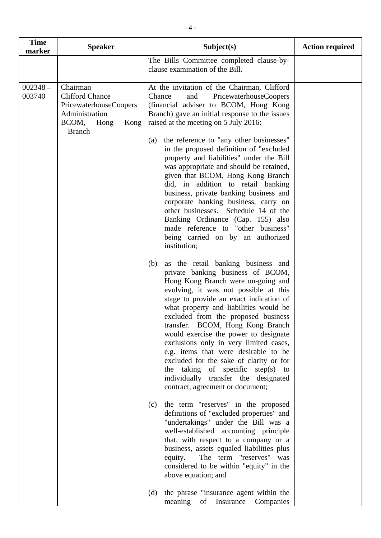| <b>Time</b><br>marker | <b>Speaker</b>                                                                                                                  | Subject(s)                                                                                                                                                                                                                                                                                                                                                                                                                                                                                                                                                                                                           | <b>Action required</b> |
|-----------------------|---------------------------------------------------------------------------------------------------------------------------------|----------------------------------------------------------------------------------------------------------------------------------------------------------------------------------------------------------------------------------------------------------------------------------------------------------------------------------------------------------------------------------------------------------------------------------------------------------------------------------------------------------------------------------------------------------------------------------------------------------------------|------------------------|
|                       |                                                                                                                                 | The Bills Committee completed clause-by-<br>clause examination of the Bill.                                                                                                                                                                                                                                                                                                                                                                                                                                                                                                                                          |                        |
| $002348 -$<br>003740  | Chairman<br><b>Clifford Chance</b><br><b>PricewaterhouseCoopers</b><br>Administration<br>BCOM,<br>Hong<br>Kong<br><b>Branch</b> | At the invitation of the Chairman, Clifford<br>Chance<br>PricewaterhouseCoopers<br>and<br>(financial adviser to BCOM, Hong Kong<br>Branch) gave an initial response to the issues<br>raised at the meeting on 5 July 2016:<br>the reference to "any other businesses"<br>(a)                                                                                                                                                                                                                                                                                                                                         |                        |
|                       |                                                                                                                                 | in the proposed definition of "excluded<br>property and liabilities" under the Bill<br>was appropriate and should be retained,<br>given that BCOM, Hong Kong Branch<br>did, in addition to retail banking<br>business, private banking business and<br>corporate banking business, carry on<br>other businesses. Schedule 14 of the<br>Banking Ordinance (Cap. 155) also<br>made reference to "other business"<br>being carried on by an authorized<br>institution;                                                                                                                                                  |                        |
|                       |                                                                                                                                 | as the retail banking business and<br>(b)<br>private banking business of BCOM,<br>Hong Kong Branch were on-going and<br>evolving, it was not possible at this<br>stage to provide an exact indication of<br>what property and liabilities would be<br>excluded from the proposed business<br>transfer. BCOM, Hong Kong Branch<br>would exercise the power to designate<br>exclusions only in very limited cases,<br>e.g. items that were desirable to be<br>excluded for the sake of clarity or for<br>the taking of specific step(s) to<br>individually transfer the designated<br>contract, agreement or document; |                        |
|                       |                                                                                                                                 | the term "reserves" in the proposed<br>(c)<br>definitions of "excluded properties" and<br>"undertakings" under the Bill was a<br>well-established accounting principle<br>that, with respect to a company or a<br>business, assets equaled liabilities plus<br>The term "reserves" was<br>equity.<br>considered to be within "equity" in the<br>above equation; and                                                                                                                                                                                                                                                  |                        |
|                       |                                                                                                                                 | the phrase "insurance agent within the<br>(d)<br>meaning<br>of<br>Insurance<br>Companies                                                                                                                                                                                                                                                                                                                                                                                                                                                                                                                             |                        |